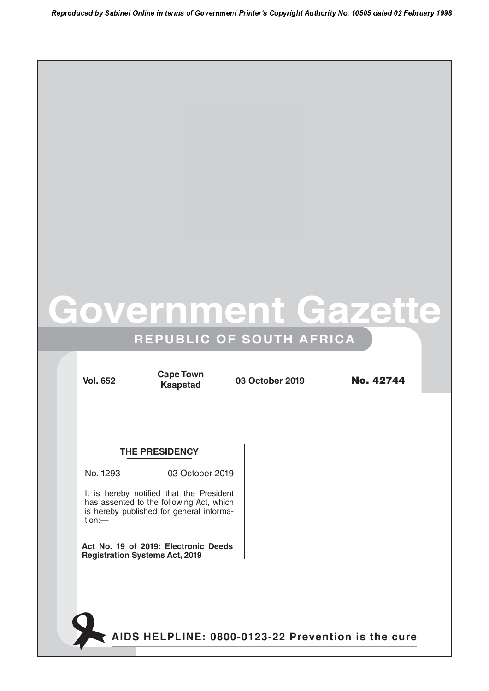# **Government Gazette**

### **REPUBLIC OF SOUTH AFRICA**

**Kaapstad**

**Vol. 652 03 October 2019** No. 42744 **Cape Town**

#### **THE PRESIDENCY**

No. 1293 03 October 2019

It is hereby notified that the President has assented to the following Act, which is hereby published for general information:—

**Act No. 19 of 2019: Electronic Deeds Registration Systems Act, 2019**

**AIDS HELPLINE: 0800-0123-22 Prevention is the cure**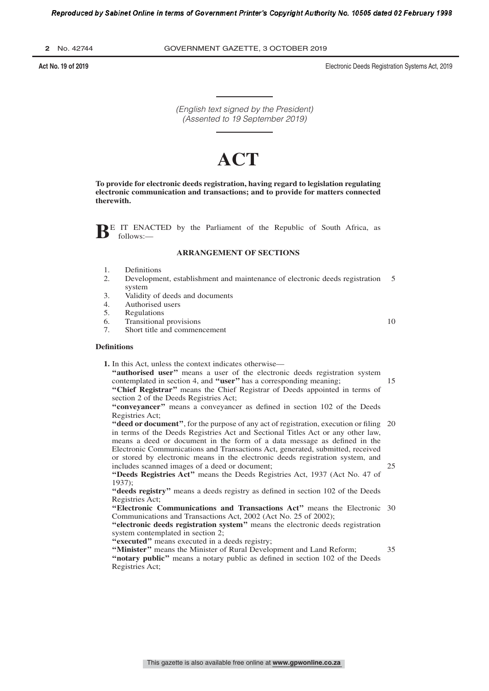**2** No. 42744 GOVERNMENT GAZETTE, 3 OCTOBER 2019

**Act No. 19 of 2019** Electronic Deeds Registration Systems Act, 2019

(English text signed by the President) (Assented to 19 September 2019)

## **ACT**

**To provide for electronic deeds registration, having regard to legislation regulating electronic communication and transactions; and to provide for matters connected therewith.**

BE IT ENACTED by the Parliament of the Republic of South Africa, as follows:follows:—

#### **ARRANGEMENT OF SECTIONS**

- 1. Definitions
- 2. Development, establishment and maintenance of electronic deeds registration system 5
- 3. Validity of deeds and documents<br>4. Authorised users
- 4. Authorised users<br>5. Regulations
- **Regulations**
- 6. Transitional provisions
- 7. Short title and commencement

#### **Definitions**

**1.** In this Act, unless the context indicates otherwise—

"authorised user" means a user of the electronic deeds registration system contemplated in section 4, and **''user''** has a corresponding meaning;

**''Chief Registrar''** means the Chief Registrar of Deeds appointed in terms of section 2 of the Deeds Registries Act;

**''conveyancer''** means a conveyancer as defined in section 102 of the Deeds Registries Act;

"deed or document", for the purpose of any act of registration, execution or filing 20 in terms of the Deeds Registries Act and Sectional Titles Act or any other law, means a deed or document in the form of a data message as defined in the Electronic Communications and Transactions Act, generated, submitted, received or stored by electronic means in the electronic deeds registration system, and includes scanned images of a deed or document; 25

**''Deeds Registries Act''** means the Deeds Registries Act, 1937 (Act No. 47 of 1937);

**''deeds registry''** means a deeds registry as defined in section 102 of the Deeds Registries Act;

"Electronic Communications and Transactions Act" means the Electronic 30 Communications and Transactions Act, 2002 (Act No. 25 of 2002);

**''electronic deeds registration system''** means the electronic deeds registration system contemplated in section 2;

**''executed''** means executed in a deeds registry;

**''Minister''** means the Minister of Rural Development and Land Reform; "notary public" means a notary public as defined in section 102 of the Deeds Registries Act; 35

10

15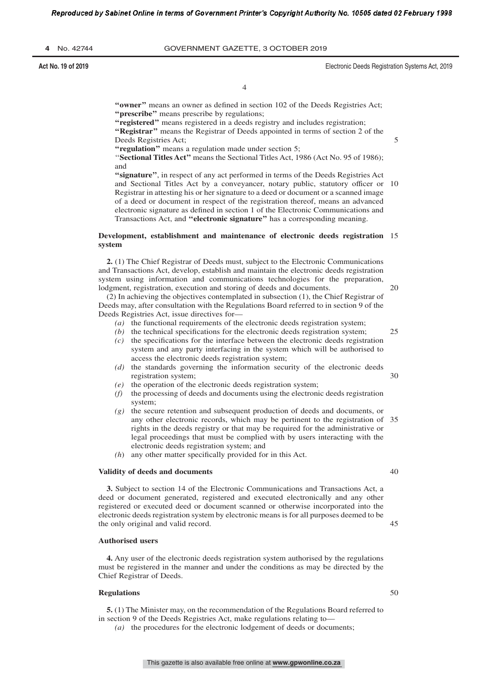**Act No. 19 of 2019** Electronic Deeds Registration Systems Act, 2019

5

 $20$ 

25

30

40

45

4

"owner" means an owner as defined in section 102 of the Deeds Registries Act; "prescribe" means prescribe by regulations;

**''registered''** means registered in a deeds registry and includes registration;

**''Registrar''** means the Registrar of Deeds appointed in terms of section 2 of the Deeds Registries Act;

**''regulation''** means a regulation made under section 5;

''**Sectional Titles Act''** means the Sectional Titles Act, 1986 (Act No. 95 of 1986); and

**''signature''**, in respect of any act performed in terms of the Deeds Registries Act and Sectional Titles Act by a conveyancer, notary public, statutory officer or Registrar in attesting his or her signature to a deed or document or a scanned image of a deed or document in respect of the registration thereof, means an advanced electronic signature as defined in section 1 of the Electronic Communications and Transactions Act, and **''electronic signature''** has a corresponding meaning. 10

#### **Development, establishment and maintenance of electronic deeds registration** 15 **system**

**2.** (1) The Chief Registrar of Deeds must, subject to the Electronic Communications and Transactions Act, develop, establish and maintain the electronic deeds registration system using information and communications technologies for the preparation, lodgment, registration, execution and storing of deeds and documents.

(2) In achieving the objectives contemplated in subsection (1), the Chief Registrar of Deeds may, after consultation with the Regulations Board referred to in section 9 of the Deeds Registries Act, issue directives for—

- *(a)* the functional requirements of the electronic deeds registration system;
- *(b)* the technical specifications for the electronic deeds registration system;
- *(c)* the specifications for the interface between the electronic deeds registration system and any party interfacing in the system which will be authorised to access the electronic deeds registration system;
- *(d)* the standards governing the information security of the electronic deeds registration system;
- *(e)* the operation of the electronic deeds registration system;
- *(f)* the processing of deeds and documents using the electronic deeds registration system;
- *(g)* the secure retention and subsequent production of deeds and documents, or any other electronic records, which may be pertinent to the registration of 35 rights in the deeds registry or that may be required for the administrative or legal proceedings that must be complied with by users interacting with the electronic deeds registration system; and
- *(h*) any other matter specifically provided for in this Act.

#### **Validity of deeds and documents**

**3.** Subject to section 14 of the Electronic Communications and Transactions Act, a deed or document generated, registered and executed electronically and any other registered or executed deed or document scanned or otherwise incorporated into the electronic deeds registration system by electronic means is for all purposes deemed to be the only original and valid record.

#### **Authorised users**

**4.** Any user of the electronic deeds registration system authorised by the regulations must be registered in the manner and under the conditions as may be directed by the Chief Registrar of Deeds.

#### **Regulations**

**5.** (1) The Minister may, on the recommendation of the Regulations Board referred to in section 9 of the Deeds Registries Act, make regulations relating to—

*(a)* the procedures for the electronic lodgement of deeds or documents;

50